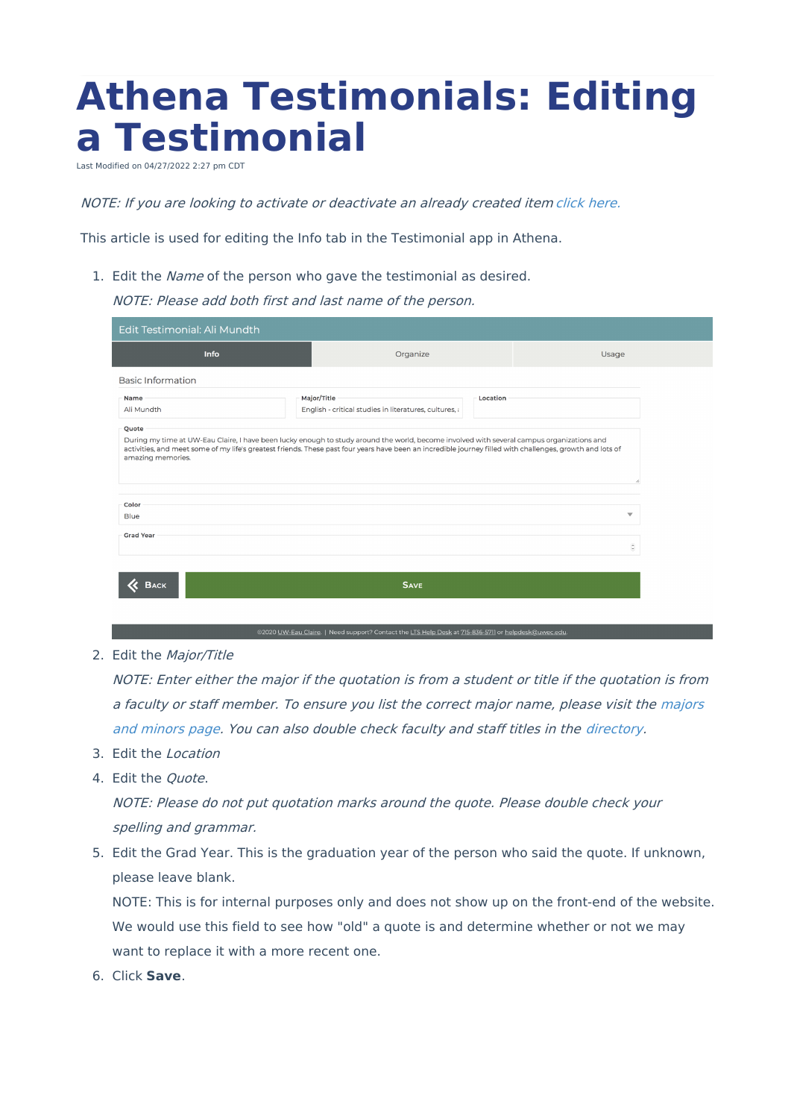## **Athena Testimonials: Editing a Testimonial**

Last Modified on 04/27/2022 2:27

NOTE: If you are looking to activate or deactivate an already created item [click](https://kb.uwec.edu/help/athena-universal-activate-and-deactivate) here.

This article is used for editing the Info tab in the Testimonial app in Athena.

1. Edit the Name of the person who gave the testimonial as desired.

NOTE: Please add both first and last name of the person.

| Edit Testimonial: Ali Mundth                                                                                                                                                                                                                                                                                                          |                                                                                   |                             |
|---------------------------------------------------------------------------------------------------------------------------------------------------------------------------------------------------------------------------------------------------------------------------------------------------------------------------------------|-----------------------------------------------------------------------------------|-----------------------------|
| Info                                                                                                                                                                                                                                                                                                                                  | Organize                                                                          | Usage                       |
| <b>Basic Information</b>                                                                                                                                                                                                                                                                                                              |                                                                                   |                             |
| Name<br>Ali Mundth                                                                                                                                                                                                                                                                                                                    | Major/Title<br>Location<br>English - critical studies in literatures, cultures, a |                             |
| Quote<br>During my time at UW-Eau Claire, I have been lucky enough to study around the world, become involved with several campus organizations and<br>activities, and meet some of my life's greatest friends. These past four years have been an incredible journey filled with challenges, growth and lots of<br>amazing memories. |                                                                                   |                             |
| Color<br><b>Blue</b>                                                                                                                                                                                                                                                                                                                  |                                                                                   | $\overline{\mathbf{v}}$     |
| <b>Grad Year</b>                                                                                                                                                                                                                                                                                                                      |                                                                                   |                             |
|                                                                                                                                                                                                                                                                                                                                       |                                                                                   | $\hat{\boldsymbol{\cdot} }$ |
| <b>SAVE</b><br><b>BACK</b>                                                                                                                                                                                                                                                                                                            |                                                                                   |                             |
|                                                                                                                                                                                                                                                                                                                                       |                                                                                   |                             |

2. Edit the Major/Title

NOTE: Enter either the major if the quotation is from <sup>a</sup> student or title if the quotation is from <sup>a</sup> faculty or staff member. To ensure you list the correct major name, please visit the majors and minors page. You can also double check faculty and staff titles in the [directory.](https://www.uwec.edu/academics/majors-minors/)

- 3. Edit the Location
- 4. Edit the Quote.

NOTE: Please do not put quotation marks around the quote. Please double check your spelling and grammar.

5. Edit the Grad Year. This is the graduation year of the person who said the quote. If unknown, please leave blank.

NOTE: This is for internal purposes only and does not show up on the front-end of the website. We would use this field to see how "old" a quote is and determine whether or not we may want to replace it with a more recent one.

6. Click **Save**.